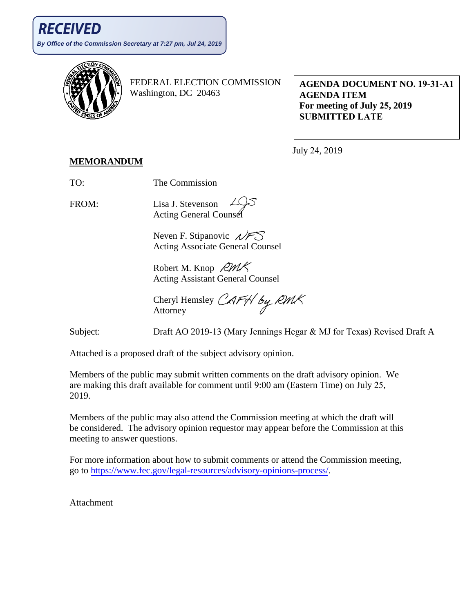

FEDERAL ELECTION COMMISSION Washington, DC 20463

**AGENDA DOCUMENT NO. 19-31-A1 AGENDA ITEM For meeting of July 25, 2019 SUBMITTED LATE**

July 24, 2019

## **MEMORANDUM**

TO: The Commission

FROM: Lisa J. Stevenson **Acting General Counser** 

> Neven F. Stipanovic  $\mathcal{N}$ FS Acting Associate General Counsel

Robert M. Knop  $RMK$ Acting Assistant General Counsel

Cheryl Hemsley CAFH by RMK Attorney

Subject: Draft AO 2019-13 (Mary Jennings Hegar & MJ for Texas) Revised Draft A

Attached is a proposed draft of the subject advisory opinion.

Members of the public may submit written comments on the draft advisory opinion. We are making this draft available for comment until 9:00 am (Eastern Time) on July 25, 2019.

Members of the public may also attend the Commission meeting at which the draft will be considered. The advisory opinion requestor may appear before the Commission at this meeting to answer questions.

For more information about how to submit comments or attend the Commission meeting, go to [https://www.fec.gov/legal-resources/advisory-opinions-process/.](https://www.fec.gov/legal-resources/advisory-opinions-process/)

Attachment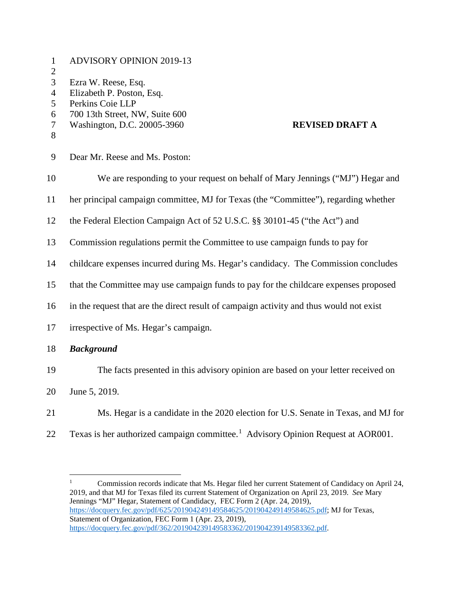| $\mathbf{1}$<br>$\overline{2}$               | <b>ADVISORY OPINION 2019-13</b>                                                                                                                                 |
|----------------------------------------------|-----------------------------------------------------------------------------------------------------------------------------------------------------------------|
| 3<br>$\overline{4}$<br>5<br>6<br>$\tau$<br>8 | Ezra W. Reese, Esq.<br>Elizabeth P. Poston, Esq.<br>Perkins Coie LLP<br>700 13th Street, NW, Suite 600<br>Washington, D.C. 20005-3960<br><b>REVISED DRAFT A</b> |
| 9                                            | Dear Mr. Reese and Ms. Poston:                                                                                                                                  |
| 10                                           | We are responding to your request on behalf of Mary Jennings ("MJ") Hegar and                                                                                   |
| 11                                           | her principal campaign committee, MJ for Texas (the "Committee"), regarding whether                                                                             |
| 12                                           | the Federal Election Campaign Act of 52 U.S.C. §§ 30101-45 ("the Act") and                                                                                      |
| 13                                           | Commission regulations permit the Committee to use campaign funds to pay for                                                                                    |
| 14                                           | childcare expenses incurred during Ms. Hegar's candidacy. The Commission concludes                                                                              |
| 15                                           | that the Committee may use campaign funds to pay for the childcare expenses proposed                                                                            |
| 16                                           | in the request that are the direct result of campaign activity and thus would not exist                                                                         |
| 17                                           | irrespective of Ms. Hegar's campaign.                                                                                                                           |
| 18                                           | <b>Background</b>                                                                                                                                               |
| 19                                           | The facts presented in this advisory opinion are based on your letter received on                                                                               |
| 20                                           | June 5, 2019.                                                                                                                                                   |
| 21                                           | Ms. Hegar is a candidate in the 2020 election for U.S. Senate in Texas, and MJ for                                                                              |

22 Texas is her authorized campaign committee.<sup>[1](#page-1-0)</sup> Advisory Opinion Request at AOR001.

<span id="page-1-0"></span><sup>&</sup>lt;sup>1</sup> Commission records indicate that Ms. Hegar filed her current Statement of Candidacy on April 24, 2019, and that MJ for Texas filed its current Statement of Organization on April 23, 2019. *See* Mary Jennings "MJ" Hegar, Statement of Candidacy, FEC Form 2 (Apr. 24, 2019), [https://docquery.fec.gov/pdf/625/201904249149584625/201904249149584625.pdf;](https://docquery.fec.gov/pdf/625/201904249149584625/201904249149584625.pdf) MJ for Texas, Statement of Organization, FEC Form 1 (Apr. 23, 2019), [https://docquery.fec.gov/pdf/362/201904239149583362/201904239149583362.pdf.](https://docquery.fec.gov/pdf/362/201904239149583362/201904239149583362.pdf)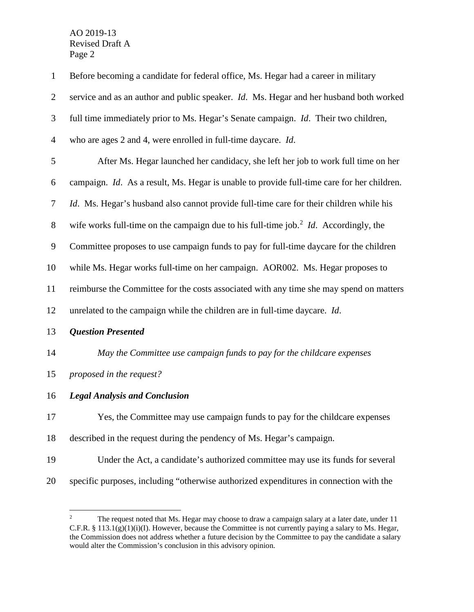| $\mathbf{1}$   | Before becoming a candidate for federal office, Ms. Hegar had a career in military                      |
|----------------|---------------------------------------------------------------------------------------------------------|
| $\overline{2}$ | service and as an author and public speaker. Id. Ms. Hegar and her husband both worked                  |
| 3              | full time immediately prior to Ms. Hegar's Senate campaign. <i>Id.</i> Their two children,              |
| $\overline{4}$ | who are ages 2 and 4, were enrolled in full-time daycare. Id.                                           |
| 5              | After Ms. Hegar launched her candidacy, she left her job to work full time on her                       |
| 6              | campaign. Id. As a result, Ms. Hegar is unable to provide full-time care for her children.              |
| 7              | <i>Id.</i> Ms. Hegar's husband also cannot provide full-time care for their children while his          |
| $8\,$          | wife works full-time on the campaign due to his full-time job. <sup>2</sup> <i>Id.</i> Accordingly, the |
| 9              | Committee proposes to use campaign funds to pay for full-time daycare for the children                  |
| 10             | while Ms. Hegar works full-time on her campaign. AOR002. Ms. Hegar proposes to                          |
| 11             | reimburse the Committee for the costs associated with any time she may spend on matters                 |
| 12             | unrelated to the campaign while the children are in full-time daycare. Id.                              |
| 13             | <b>Question Presented</b>                                                                               |
| 14             | May the Committee use campaign funds to pay for the childcare expenses                                  |
| 15             | proposed in the request?                                                                                |
| 16             | <b>Legal Analysis and Conclusion</b>                                                                    |
| 17             | Yes, the Committee may use campaign funds to pay for the childcare expenses                             |
| 18             | described in the request during the pendency of Ms. Hegar's campaign.                                   |
| 19             | Under the Act, a candidate's authorized committee may use its funds for several                         |
| 20             | specific purposes, including "otherwise authorized expenditures in connection with the                  |

<span id="page-2-0"></span><sup>&</sup>lt;sup>2</sup> The request noted that Ms. Hegar may choose to draw a campaign salary at a later date, under 11 C.F.R. § 113.1(g)(1)(i)(I). However, because the Committee is not currently paying a salary to Ms. Hegar, the Commission does not address whether a future decision by the Committee to pay the candidate a salary would alter the Commission's conclusion in this advisory opinion.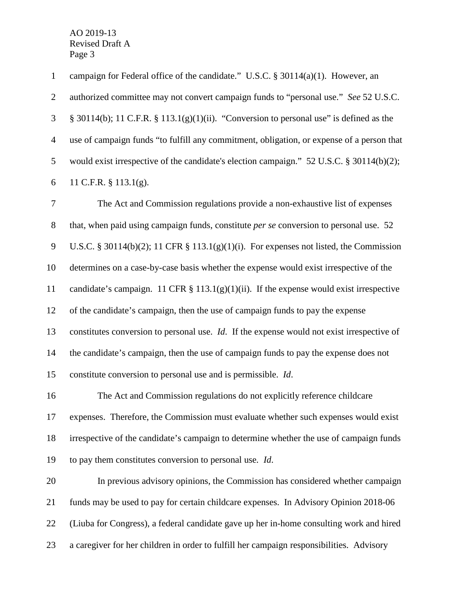campaign for Federal office of the candidate." U.S.C. § 30114(a)(1). However, an authorized committee may not convert campaign funds to "personal use." *See* 52 U.S.C. § 30114(b); 11 C.F.R. § 113.1(g)(1)(ii). "Conversion to personal use" is defined as the use of campaign funds "to fulfill any commitment, obligation, or expense of a person that would exist irrespective of the candidate's election campaign." 52 U.S.C. § 30114(b)(2); 11 C.F.R. § 113.1(g).

 The Act and Commission regulations provide a non-exhaustive list of expenses that, when paid using campaign funds, constitute *per se* conversion to personal use. 52 U.S.C. § 30114(b)(2); 11 CFR § 113.1(g)(1)(i). For expenses not listed, the Commission determines on a case-by-case basis whether the expense would exist irrespective of the candidate's campaign. 11 CFR § 113.1(g)(1)(ii). If the expense would exist irrespective of the candidate's campaign, then the use of campaign funds to pay the expense constitutes conversion to personal use. *Id*. If the expense would not exist irrespective of the candidate's campaign, then the use of campaign funds to pay the expense does not constitute conversion to personal use and is permissible. *Id*.

 The Act and Commission regulations do not explicitly reference childcare expenses. Therefore, the Commission must evaluate whether such expenses would exist irrespective of the candidate's campaign to determine whether the use of campaign funds to pay them constitutes conversion to personal use*. Id*.

 In previous advisory opinions, the Commission has considered whether campaign funds may be used to pay for certain childcare expenses. In Advisory Opinion 2018-06 (Liuba for Congress), a federal candidate gave up her in-home consulting work and hired a caregiver for her children in order to fulfill her campaign responsibilities. Advisory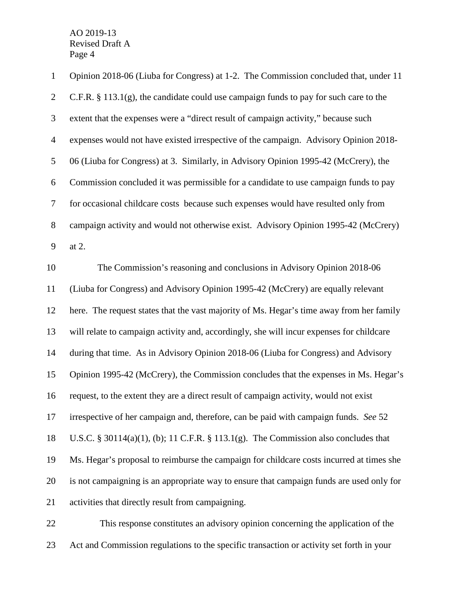| $\mathbf{1}$   | Opinion 2018-06 (Liuba for Congress) at 1-2. The Commission concluded that, under 11     |
|----------------|------------------------------------------------------------------------------------------|
| $\overline{2}$ | C.F.R. $\S$ 113.1(g), the candidate could use campaign funds to pay for such care to the |
| 3              | extent that the expenses were a "direct result of campaign activity," because such       |
| $\overline{4}$ | expenses would not have existed irrespective of the campaign. Advisory Opinion 2018-     |
| $\mathfrak{S}$ | 06 (Liuba for Congress) at 3. Similarly, in Advisory Opinion 1995-42 (McCrery), the      |
| 6              | Commission concluded it was permissible for a candidate to use campaign funds to pay     |
| $\tau$         | for occasional childcare costs because such expenses would have resulted only from       |
| $8\,$          | campaign activity and would not otherwise exist. Advisory Opinion 1995-42 (McCrery)      |
| 9              | at 2.                                                                                    |
| 10             | The Commission's reasoning and conclusions in Advisory Opinion 2018-06                   |
| 11             | (Liuba for Congress) and Advisory Opinion 1995-42 (McCrery) are equally relevant         |
| 12             | here. The request states that the vast majority of Ms. Hegar's time away from her family |
| 13             | will relate to campaign activity and, accordingly, she will incur expenses for childcare |
| 14             | during that time. As in Advisory Opinion 2018-06 (Liuba for Congress) and Advisory       |
| 15             | Opinion 1995-42 (McCrery), the Commission concludes that the expenses in Ms. Hegar's     |
| 16             | request, to the extent they are a direct result of campaign activity, would not exist    |
| 17             | irrespective of her campaign and, therefore, can be paid with campaign funds. See 52     |
| 18             | U.S.C. § 30114(a)(1), (b); 11 C.F.R. § 113.1(g). The Commission also concludes that      |
| 19             | Ms. Hegar's proposal to reimburse the campaign for childcare costs incurred at times she |
| 20             | is not campaigning is an appropriate way to ensure that campaign funds are used only for |
| 21             | activities that directly result from campaigning.                                        |
|                |                                                                                          |

 This response constitutes an advisory opinion concerning the application of the Act and Commission regulations to the specific transaction or activity set forth in your